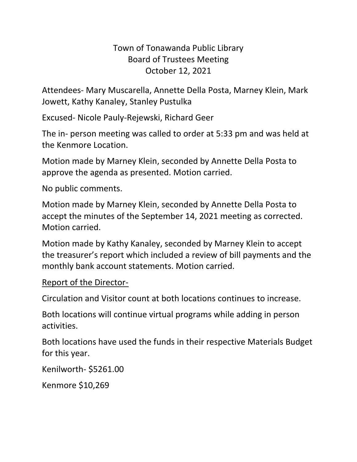## Town of Tonawanda Public Library Board of Trustees Meeting October 12, 2021

Attendees- Mary Muscarella, Annette Della Posta, Marney Klein, Mark Jowett, Kathy Kanaley, Stanley Pustulka

Excused- Nicole Pauly-Rejewski, Richard Geer

The in- person meeting was called to order at 5:33 pm and was held at the Kenmore Location.

Motion made by Marney Klein, seconded by Annette Della Posta to approve the agenda as presented. Motion carried.

No public comments.

Motion made by Marney Klein, seconded by Annette Della Posta to accept the minutes of the September 14, 2021 meeting as corrected. Motion carried.

Motion made by Kathy Kanaley, seconded by Marney Klein to accept the treasurer's report which included a review of bill payments and the monthly bank account statements. Motion carried.

## Report of the Director-

Circulation and Visitor count at both locations continues to increase.

Both locations will continue virtual programs while adding in person activities.

Both locations have used the funds in their respective Materials Budget for this year.

Kenilworth- \$5261.00

Kenmore \$10,269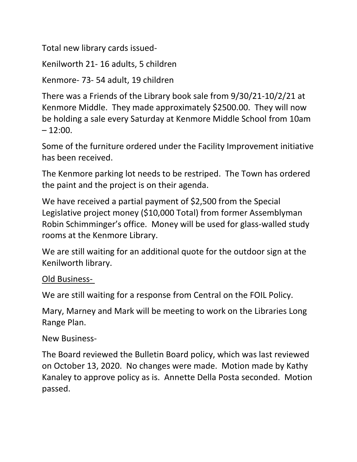Total new library cards issued-

Kenilworth 21- 16 adults, 5 children

Kenmore- 73- 54 adult, 19 children

There was a Friends of the Library book sale from 9/30/21-10/2/21 at Kenmore Middle. They made approximately \$2500.00. They will now be holding a sale every Saturday at Kenmore Middle School from 10am  $-12:00.$ 

Some of the furniture ordered under the Facility Improvement initiative has been received.

The Kenmore parking lot needs to be restriped. The Town has ordered the paint and the project is on their agenda.

We have received a partial payment of \$2,500 from the Special Legislative project money (\$10,000 Total) from former Assemblyman Robin Schimminger's office. Money will be used for glass-walled study rooms at the Kenmore Library.

We are still waiting for an additional quote for the outdoor sign at the Kenilworth library.

## Old Business-

We are still waiting for a response from Central on the FOIL Policy.

Mary, Marney and Mark will be meeting to work on the Libraries Long Range Plan.

New Business-

The Board reviewed the Bulletin Board policy, which was last reviewed on October 13, 2020. No changes were made. Motion made by Kathy Kanaley to approve policy as is. Annette Della Posta seconded. Motion passed.